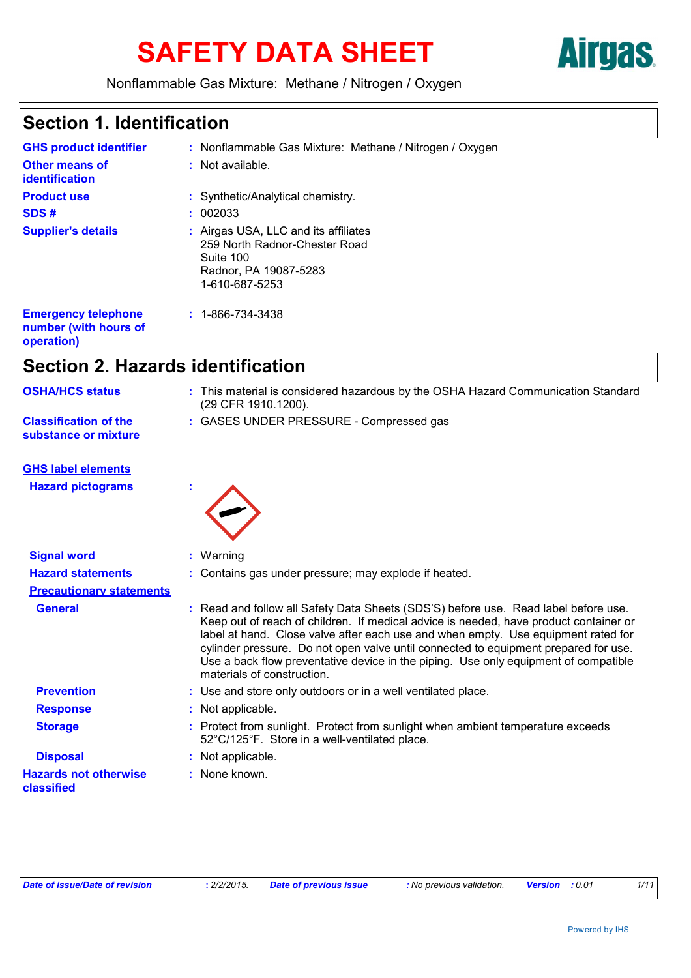# SAFETY DATA SHEET **Airgas**



Nonflammable Gas Mixture: Methane / Nitrogen / Oxygen

### **Section 1. Identification**

| <b>GHS product identifier</b>                       | : Nonflammable Gas Mixture: Methane / Nitrogen / Oxygen                                                                       |
|-----------------------------------------------------|-------------------------------------------------------------------------------------------------------------------------------|
| <b>Other means of</b><br><b>identification</b>      | : Not available.                                                                                                              |
| <b>Product use</b>                                  | : Synthetic/Analytical chemistry.                                                                                             |
| SDS#                                                | : 002033                                                                                                                      |
| <b>Supplier's details</b>                           | : Airgas USA, LLC and its affiliates<br>259 North Radnor-Chester Road<br>Suite 100<br>Radnor, PA 19087-5283<br>1-610-687-5253 |
| <b>Emergency telephone</b><br>number (with hours of | $: 1 - 866 - 734 - 3438$                                                                                                      |

**operation)**

# **Section 2. Hazards identification**

| <b>OSHA/HCS status</b>                               | : This material is considered hazardous by the OSHA Hazard Communication Standard<br>(29 CFR 1910.1200).                                                                                                                                                                                                                                                                                                                                                                      |
|------------------------------------------------------|-------------------------------------------------------------------------------------------------------------------------------------------------------------------------------------------------------------------------------------------------------------------------------------------------------------------------------------------------------------------------------------------------------------------------------------------------------------------------------|
| <b>Classification of the</b><br>substance or mixture | : GASES UNDER PRESSURE - Compressed gas                                                                                                                                                                                                                                                                                                                                                                                                                                       |
| <b>GHS label elements</b>                            |                                                                                                                                                                                                                                                                                                                                                                                                                                                                               |
| <b>Hazard pictograms</b>                             |                                                                                                                                                                                                                                                                                                                                                                                                                                                                               |
| <b>Signal word</b>                                   | : Warning                                                                                                                                                                                                                                                                                                                                                                                                                                                                     |
| <b>Hazard statements</b>                             | : Contains gas under pressure; may explode if heated.                                                                                                                                                                                                                                                                                                                                                                                                                         |
| <b>Precautionary statements</b>                      |                                                                                                                                                                                                                                                                                                                                                                                                                                                                               |
| <b>General</b>                                       | : Read and follow all Safety Data Sheets (SDS'S) before use. Read label before use.<br>Keep out of reach of children. If medical advice is needed, have product container or<br>label at hand. Close valve after each use and when empty. Use equipment rated for<br>cylinder pressure. Do not open valve until connected to equipment prepared for use.<br>Use a back flow preventative device in the piping. Use only equipment of compatible<br>materials of construction. |
| <b>Prevention</b>                                    | : Use and store only outdoors or in a well ventilated place.                                                                                                                                                                                                                                                                                                                                                                                                                  |
| <b>Response</b>                                      | : Not applicable.                                                                                                                                                                                                                                                                                                                                                                                                                                                             |
| <b>Storage</b>                                       | : Protect from sunlight. Protect from sunlight when ambient temperature exceeds<br>52°C/125°F. Store in a well-ventilated place.                                                                                                                                                                                                                                                                                                                                              |
| <b>Disposal</b>                                      | Not applicable.                                                                                                                                                                                                                                                                                                                                                                                                                                                               |
| <b>Hazards not otherwise</b><br>classified           | : None known.                                                                                                                                                                                                                                                                                                                                                                                                                                                                 |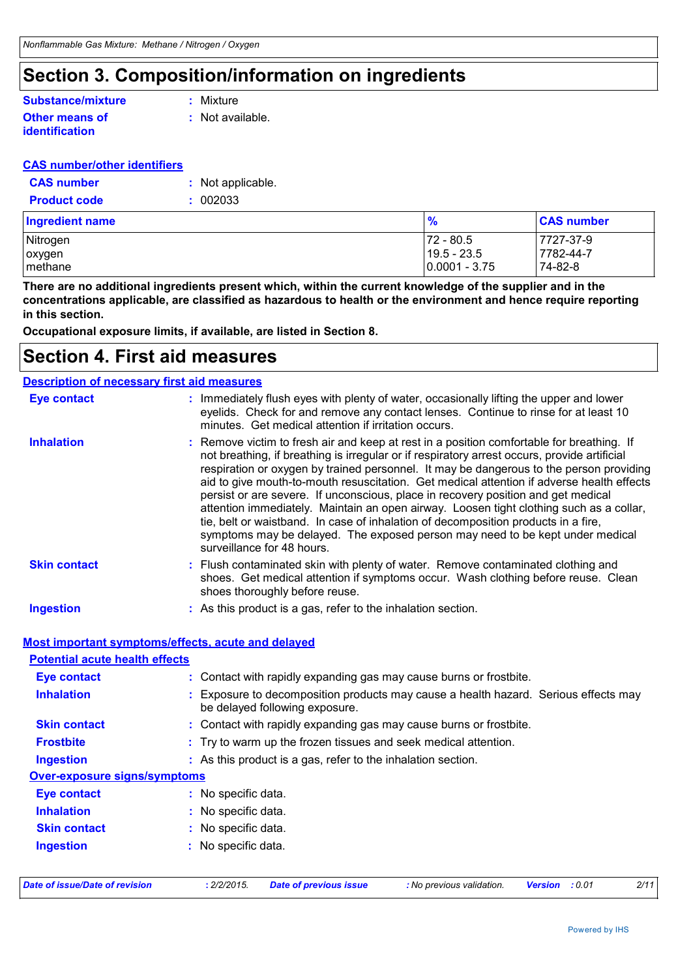### **Section 3. Composition/information on ingredients**

#### **Other means of Substance/mixture**

**identification**

**:** Mixture

**:** Not available.

#### **CAS number/other identifiers**

| <b>CAS number</b>   | : Not applicable. |
|---------------------|-------------------|
| <b>Product code</b> | : 002033          |

| Ingredient name | $\frac{9}{6}$     | <b>CAS number</b> |
|-----------------|-------------------|-------------------|
| Nitrogen        | 72 - 80.5         | 7727-37-9         |
| oxygen          | $19.5 - 23.5$     | 7782-44-7         |
| I methane       | $ 0.0001 - 3.75 $ | 74-82-8           |

**There are no additional ingredients present which, within the current knowledge of the supplier and in the concentrations applicable, are classified as hazardous to health or the environment and hence require reporting in this section.**

**Occupational exposure limits, if available, are listed in Section 8.**

### **Section 4. First aid measures**

### **Description of necessary first aid measures**

| <b>Eye contact</b>  | : Immediately flush eyes with plenty of water, occasionally lifting the upper and lower<br>eyelids. Check for and remove any contact lenses. Continue to rinse for at least 10<br>minutes. Get medical attention if irritation occurs.                                                                                                                                                                                                                                                                                                                                                                                                                                                                                                                                 |
|---------------------|------------------------------------------------------------------------------------------------------------------------------------------------------------------------------------------------------------------------------------------------------------------------------------------------------------------------------------------------------------------------------------------------------------------------------------------------------------------------------------------------------------------------------------------------------------------------------------------------------------------------------------------------------------------------------------------------------------------------------------------------------------------------|
| <b>Inhalation</b>   | : Remove victim to fresh air and keep at rest in a position comfortable for breathing. If<br>not breathing, if breathing is irregular or if respiratory arrest occurs, provide artificial<br>respiration or oxygen by trained personnel. It may be dangerous to the person providing<br>aid to give mouth-to-mouth resuscitation. Get medical attention if adverse health effects<br>persist or are severe. If unconscious, place in recovery position and get medical<br>attention immediately. Maintain an open airway. Loosen tight clothing such as a collar,<br>tie, belt or waistband. In case of inhalation of decomposition products in a fire,<br>symptoms may be delayed. The exposed person may need to be kept under medical<br>surveillance for 48 hours. |
| <b>Skin contact</b> | : Flush contaminated skin with plenty of water. Remove contaminated clothing and<br>shoes. Get medical attention if symptoms occur. Wash clothing before reuse. Clean<br>shoes thoroughly before reuse.                                                                                                                                                                                                                                                                                                                                                                                                                                                                                                                                                                |
| <b>Ingestion</b>    | : As this product is a gas, refer to the inhalation section.                                                                                                                                                                                                                                                                                                                                                                                                                                                                                                                                                                                                                                                                                                           |

**Most important symptoms/effects, acute and delayed**

#### **Potential acute health effects**

| <b>Eye contact</b>                  | : Contact with rapidly expanding gas may cause burns or frostbite.                                                  |
|-------------------------------------|---------------------------------------------------------------------------------------------------------------------|
| <b>Inhalation</b>                   | Exposure to decomposition products may cause a health hazard. Serious effects may<br>be delayed following exposure. |
| <b>Skin contact</b>                 | : Contact with rapidly expanding gas may cause burns or frostbite.                                                  |
| <b>Frostbite</b>                    | : Try to warm up the frozen tissues and seek medical attention.                                                     |
| <b>Ingestion</b>                    | : As this product is a gas, refer to the inhalation section.                                                        |
| <b>Over-exposure signs/symptoms</b> |                                                                                                                     |
| <b>Eye contact</b>                  | : No specific data.                                                                                                 |
| <b>Inhalation</b>                   | : No specific data.                                                                                                 |
| <b>Skin contact</b>                 | : No specific data.                                                                                                 |
| <b>Ingestion</b>                    | : No specific data.                                                                                                 |
|                                     |                                                                                                                     |
|                                     |                                                                                                                     |

```
Date of issue/Date of revision : 2/2/2015. Date of previous issue : No previous validation. Version : 0.01 2/11
```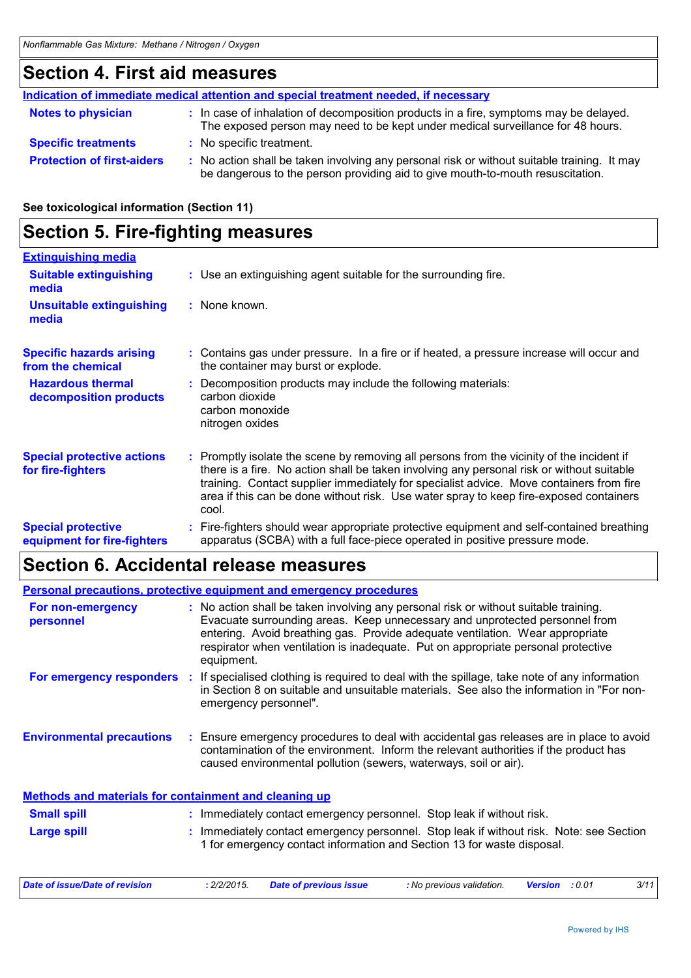### **Section 4. First aid measures**

|                                   | Indication of immediate medical attention and special treatment needed, if necessary                                                                                          |
|-----------------------------------|-------------------------------------------------------------------------------------------------------------------------------------------------------------------------------|
| <b>Notes to physician</b>         | : In case of inhalation of decomposition products in a fire, symptoms may be delayed.<br>The exposed person may need to be kept under medical surveillance for 48 hours.      |
| <b>Specific treatments</b>        | : No specific treatment.                                                                                                                                                      |
| <b>Protection of first-aiders</b> | : No action shall be taken involving any personal risk or without suitable training. It may<br>be dangerous to the person providing aid to give mouth-to-mouth resuscitation. |

#### **See toxicological information (Section 11)**

| <b>Section 5. Fire-fighting measures</b>                 |                                                                                                                                                                                                                                                                                                                                                                                      |
|----------------------------------------------------------|--------------------------------------------------------------------------------------------------------------------------------------------------------------------------------------------------------------------------------------------------------------------------------------------------------------------------------------------------------------------------------------|
| <b>Extinguishing media</b>                               |                                                                                                                                                                                                                                                                                                                                                                                      |
| <b>Suitable extinguishing</b><br>media                   | : Use an extinguishing agent suitable for the surrounding fire.                                                                                                                                                                                                                                                                                                                      |
| <b>Unsuitable extinguishing</b><br>media                 | : None known.                                                                                                                                                                                                                                                                                                                                                                        |
| <b>Specific hazards arising</b><br>from the chemical     | : Contains gas under pressure. In a fire or if heated, a pressure increase will occur and<br>the container may burst or explode.                                                                                                                                                                                                                                                     |
| <b>Hazardous thermal</b><br>decomposition products       | : Decomposition products may include the following materials:<br>carbon dioxide<br>carbon monoxide<br>nitrogen oxides                                                                                                                                                                                                                                                                |
| <b>Special protective actions</b><br>for fire-fighters   | : Promptly isolate the scene by removing all persons from the vicinity of the incident if<br>there is a fire. No action shall be taken involving any personal risk or without suitable<br>training. Contact supplier immediately for specialist advice. Move containers from fire<br>area if this can be done without risk. Use water spray to keep fire-exposed containers<br>cool. |
| <b>Special protective</b><br>equipment for fire-fighters | : Fire-fighters should wear appropriate protective equipment and self-contained breathing<br>apparatus (SCBA) with a full face-piece operated in positive pressure mode.                                                                                                                                                                                                             |

### **Section 6. Accidental release measures**

|                                                              | <b>Personal precautions, protective equipment and emergency procedures</b>                                                                                                                                                                                                                                                                              |
|--------------------------------------------------------------|---------------------------------------------------------------------------------------------------------------------------------------------------------------------------------------------------------------------------------------------------------------------------------------------------------------------------------------------------------|
| For non-emergency<br>personnel                               | : No action shall be taken involving any personal risk or without suitable training.<br>Evacuate surrounding areas. Keep unnecessary and unprotected personnel from<br>entering. Avoid breathing gas. Provide adequate ventilation. Wear appropriate<br>respirator when ventilation is inadequate. Put on appropriate personal protective<br>equipment. |
| For emergency responders :                                   | If specialised clothing is required to deal with the spillage, take note of any information<br>in Section 8 on suitable and unsuitable materials. See also the information in "For non-<br>emergency personnel".                                                                                                                                        |
| <b>Environmental precautions</b>                             | Ensure emergency procedures to deal with accidental gas releases are in place to avoid<br>contamination of the environment. Inform the relevant authorities if the product has<br>caused environmental pollution (sewers, waterways, soil or air).                                                                                                      |
| <b>Methods and materials for containment and cleaning up</b> |                                                                                                                                                                                                                                                                                                                                                         |
| <b>Small spill</b>                                           | : Immediately contact emergency personnel. Stop leak if without risk.                                                                                                                                                                                                                                                                                   |
| Large spill                                                  | : Immediately contact emergency personnel. Stop leak if without risk. Note: see Section<br>1 for emergency contact information and Section 13 for waste disposal.                                                                                                                                                                                       |
| Date of issue/Date of revision                               | 3/11<br>: 2/2/2015.<br><b>Date of previous issue</b><br>: No previous validation.<br><b>Version</b> : 0.01                                                                                                                                                                                                                                              |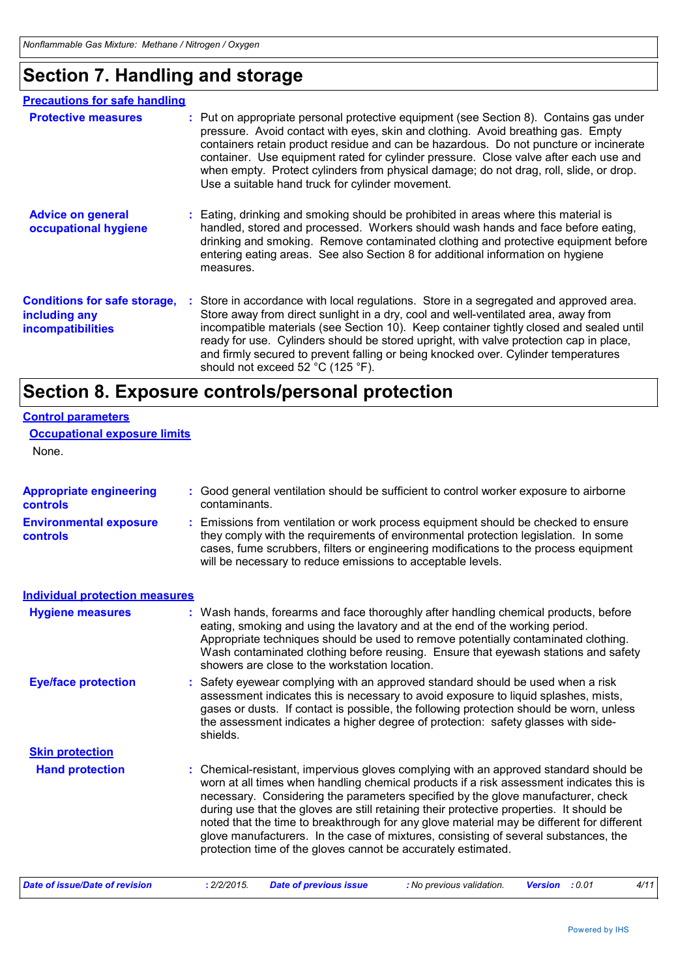### **Section 7. Handling and storage**

| <b>Precautions for safe handling</b>                                             |                                                                                                                                                                                                                                                                                                                                                                                                                                                                                                           |
|----------------------------------------------------------------------------------|-----------------------------------------------------------------------------------------------------------------------------------------------------------------------------------------------------------------------------------------------------------------------------------------------------------------------------------------------------------------------------------------------------------------------------------------------------------------------------------------------------------|
| <b>Protective measures</b>                                                       | : Put on appropriate personal protective equipment (see Section 8). Contains gas under<br>pressure. Avoid contact with eyes, skin and clothing. Avoid breathing gas. Empty<br>containers retain product residue and can be hazardous. Do not puncture or incinerate<br>container. Use equipment rated for cylinder pressure. Close valve after each use and<br>when empty. Protect cylinders from physical damage; do not drag, roll, slide, or drop.<br>Use a suitable hand truck for cylinder movement. |
| <b>Advice on general</b><br>occupational hygiene                                 | : Eating, drinking and smoking should be prohibited in areas where this material is<br>handled, stored and processed. Workers should wash hands and face before eating,<br>drinking and smoking. Remove contaminated clothing and protective equipment before<br>entering eating areas. See also Section 8 for additional information on hygiene<br>measures.                                                                                                                                             |
| <b>Conditions for safe storage,</b><br>including any<br><b>incompatibilities</b> | Store in accordance with local regulations. Store in a segregated and approved area.<br>Store away from direct sunlight in a dry, cool and well-ventilated area, away from<br>incompatible materials (see Section 10). Keep container tightly closed and sealed until<br>ready for use. Cylinders should be stored upright, with valve protection cap in place,<br>and firmly secured to prevent falling or being knocked over. Cylinder temperatures<br>should not exceed 52 °C (125 °F).                |

# **Section 8. Exposure controls/personal protection**

| <b>Control parameters</b>                  |                                                                                                                                                                                                                                                                                                                                                                                                                                                                                                                                                                                                                        |
|--------------------------------------------|------------------------------------------------------------------------------------------------------------------------------------------------------------------------------------------------------------------------------------------------------------------------------------------------------------------------------------------------------------------------------------------------------------------------------------------------------------------------------------------------------------------------------------------------------------------------------------------------------------------------|
| <b>Occupational exposure limits</b>        |                                                                                                                                                                                                                                                                                                                                                                                                                                                                                                                                                                                                                        |
| None.                                      |                                                                                                                                                                                                                                                                                                                                                                                                                                                                                                                                                                                                                        |
|                                            |                                                                                                                                                                                                                                                                                                                                                                                                                                                                                                                                                                                                                        |
| <b>Appropriate engineering</b><br>controls | : Good general ventilation should be sufficient to control worker exposure to airborne<br>contaminants.                                                                                                                                                                                                                                                                                                                                                                                                                                                                                                                |
| <b>Environmental exposure</b><br>controls  | Emissions from ventilation or work process equipment should be checked to ensure<br>they comply with the requirements of environmental protection legislation. In some<br>cases, fume scrubbers, filters or engineering modifications to the process equipment<br>will be necessary to reduce emissions to acceptable levels.                                                                                                                                                                                                                                                                                          |
| <b>Individual protection measures</b>      |                                                                                                                                                                                                                                                                                                                                                                                                                                                                                                                                                                                                                        |
| <b>Hygiene measures</b>                    | : Wash hands, forearms and face thoroughly after handling chemical products, before<br>eating, smoking and using the lavatory and at the end of the working period.<br>Appropriate techniques should be used to remove potentially contaminated clothing.<br>Wash contaminated clothing before reusing. Ensure that eyewash stations and safety<br>showers are close to the workstation location.                                                                                                                                                                                                                      |
| <b>Eye/face protection</b>                 | : Safety eyewear complying with an approved standard should be used when a risk<br>assessment indicates this is necessary to avoid exposure to liquid splashes, mists,<br>gases or dusts. If contact is possible, the following protection should be worn, unless<br>the assessment indicates a higher degree of protection: safety glasses with side-<br>shields.                                                                                                                                                                                                                                                     |
| <b>Skin protection</b>                     |                                                                                                                                                                                                                                                                                                                                                                                                                                                                                                                                                                                                                        |
| <b>Hand protection</b>                     | : Chemical-resistant, impervious gloves complying with an approved standard should be<br>worn at all times when handling chemical products if a risk assessment indicates this is<br>necessary. Considering the parameters specified by the glove manufacturer, check<br>during use that the gloves are still retaining their protective properties. It should be<br>noted that the time to breakthrough for any glove material may be different for different<br>glove manufacturers. In the case of mixtures, consisting of several substances, the<br>protection time of the gloves cannot be accurately estimated. |
| <b>Date of issue/Date of revision</b>      | 4/11<br>: 2/2/2015.<br><b>Date of previous issue</b><br>: No previous validation.<br><b>Version</b> : 0.01                                                                                                                                                                                                                                                                                                                                                                                                                                                                                                             |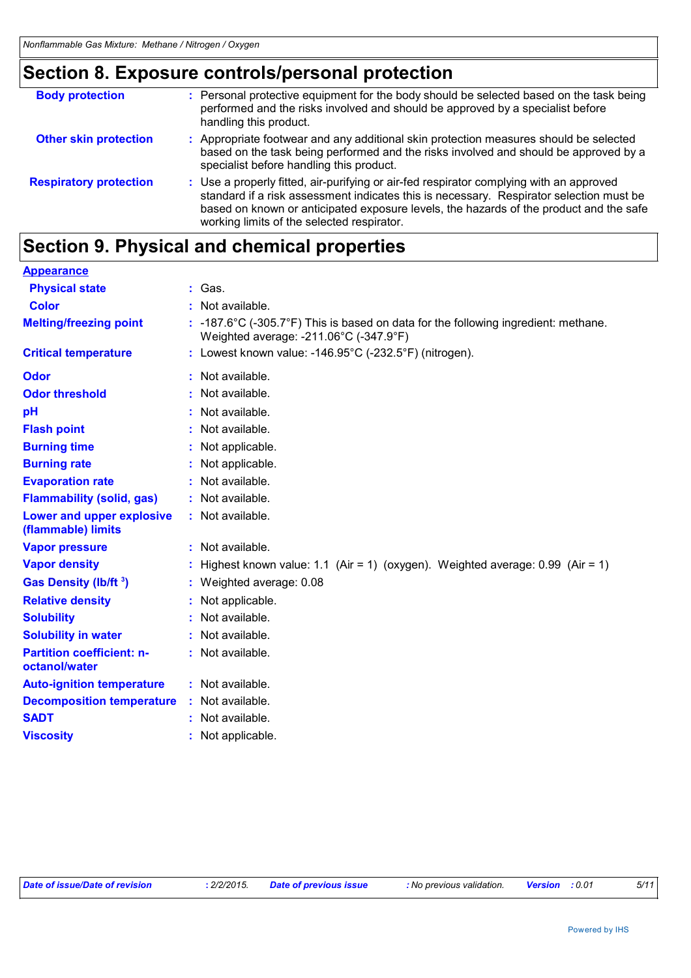# **Section 8. Exposure controls/personal protection**

| <b>Body protection</b>        | : Personal protective equipment for the body should be selected based on the task being<br>performed and the risks involved and should be approved by a specialist before<br>handling this product.                                                                                                                        |
|-------------------------------|----------------------------------------------------------------------------------------------------------------------------------------------------------------------------------------------------------------------------------------------------------------------------------------------------------------------------|
| <b>Other skin protection</b>  | : Appropriate footwear and any additional skin protection measures should be selected<br>based on the task being performed and the risks involved and should be approved by a<br>specialist before handling this product.                                                                                                  |
| <b>Respiratory protection</b> | : Use a properly fitted, air-purifying or air-fed respirator complying with an approved<br>standard if a risk assessment indicates this is necessary. Respirator selection must be<br>based on known or anticipated exposure levels, the hazards of the product and the safe<br>working limits of the selected respirator. |

### **Section 9. Physical and chemical properties**

| <b>Appearance</b>                                 |                                                                                                                                                  |
|---------------------------------------------------|--------------------------------------------------------------------------------------------------------------------------------------------------|
| <b>Physical state</b>                             | : Gas.                                                                                                                                           |
| <b>Color</b>                                      | : Not available.                                                                                                                                 |
| <b>Melting/freezing point</b>                     | : -187.6 $\degree$ C (-305.7 $\degree$ F) This is based on data for the following ingredient: methane.<br>Weighted average: -211.06°C (-347.9°F) |
| <b>Critical temperature</b>                       | : Lowest known value: -146.95°C (-232.5°F) (nitrogen).                                                                                           |
| Odor                                              | : Not available.                                                                                                                                 |
| <b>Odor threshold</b>                             | : Not available.                                                                                                                                 |
| рH                                                | Not available.                                                                                                                                   |
| <b>Flash point</b>                                | : Not available.                                                                                                                                 |
| <b>Burning time</b>                               | : Not applicable.                                                                                                                                |
| <b>Burning rate</b>                               | : Not applicable.                                                                                                                                |
| <b>Evaporation rate</b>                           | : Not available.                                                                                                                                 |
| <b>Flammability (solid, gas)</b>                  | : Not available.                                                                                                                                 |
| Lower and upper explosive<br>(flammable) limits   | : Not available.                                                                                                                                 |
| <b>Vapor pressure</b>                             | : Not available.                                                                                                                                 |
| <b>Vapor density</b>                              | : Highest known value: 1.1 (Air = 1) (oxygen). Weighted average: $0.99$ (Air = 1)                                                                |
| Gas Density (lb/ft <sup>3</sup> )                 | : Weighted average: 0.08                                                                                                                         |
| <b>Relative density</b>                           | Not applicable.                                                                                                                                  |
| <b>Solubility</b>                                 | : Not available.                                                                                                                                 |
| <b>Solubility in water</b>                        | : Not available.                                                                                                                                 |
| <b>Partition coefficient: n-</b><br>octanol/water | : Not available.                                                                                                                                 |
| <b>Auto-ignition temperature</b>                  | $:$ Not available.                                                                                                                               |
| <b>Decomposition temperature</b>                  | : Not available.                                                                                                                                 |
| <b>SADT</b>                                       | : Not available.                                                                                                                                 |
| <b>Viscosity</b>                                  | : Not applicable.                                                                                                                                |

|  | Date of issue/Date of revision | . 2/2/2015. | <b>Date of previous issue</b> | : No previous validation. | Version<br>: 0.01 |  |
|--|--------------------------------|-------------|-------------------------------|---------------------------|-------------------|--|
|--|--------------------------------|-------------|-------------------------------|---------------------------|-------------------|--|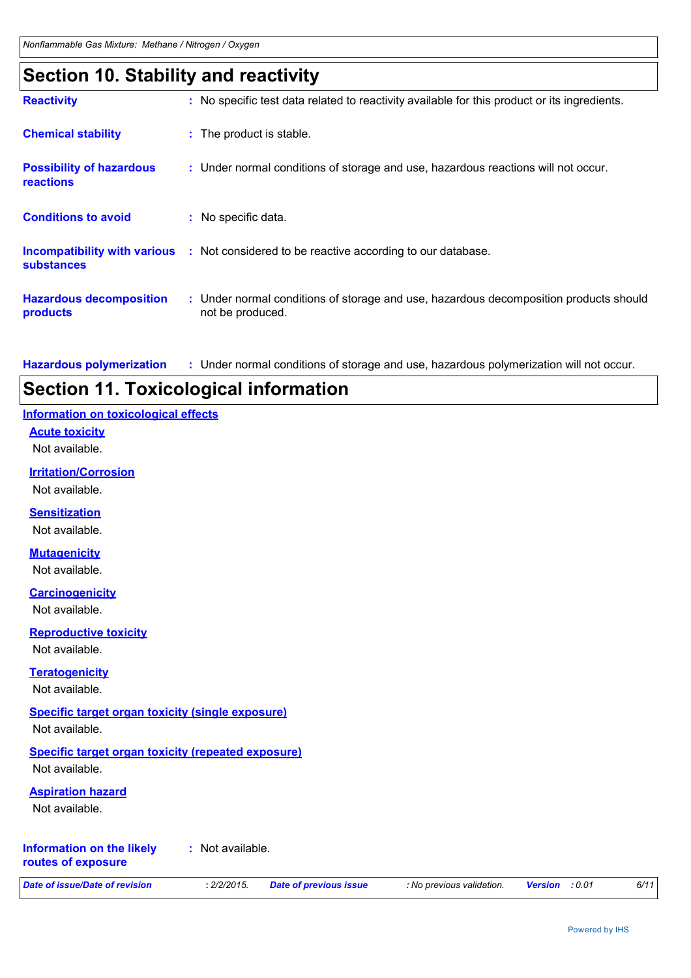### **Section 10. Stability and reactivity**

| <b>Reactivity</b>                                   | : No specific test data related to reactivity available for this product or its ingredients.              |
|-----------------------------------------------------|-----------------------------------------------------------------------------------------------------------|
| <b>Chemical stability</b>                           | : The product is stable.                                                                                  |
| <b>Possibility of hazardous</b><br><b>reactions</b> | : Under normal conditions of storage and use, hazardous reactions will not occur.                         |
| <b>Conditions to avoid</b>                          | : No specific data.                                                                                       |
| <b>substances</b>                                   | <b>Incompatibility with various</b> : Not considered to be reactive according to our database.            |
| <b>Hazardous decomposition</b><br>products          | : Under normal conditions of storage and use, hazardous decomposition products should<br>not be produced. |

Under normal conditions of storage and use, hazardous polymerization will not occur. **: Hazardous polymerization**

### **Section 11. Toxicological information**

| Information on toxicological effects                                       |
|----------------------------------------------------------------------------|
| <b>Acute toxicity</b><br>Not available.                                    |
| <b>Irritation/Corrosion</b>                                                |
| Not available.                                                             |
| <b>Sensitization</b>                                                       |
| Not available.                                                             |
| <b>Mutagenicity</b>                                                        |
| Not available.                                                             |
| <b>Carcinogenicity</b>                                                     |
| Not available.                                                             |
| <b>Reproductive toxicity</b><br>Not available.                             |
| <b>Teratogenicity</b>                                                      |
| Not available.                                                             |
| <b>Specific target organ toxicity (single exposure)</b>                    |
| Not available.                                                             |
| <b>Specific target organ toxicity (repeated exposure)</b>                  |
| Not available.                                                             |
| <b>Aspiration hazard</b><br>Not available.                                 |
|                                                                            |
| <b>Information on the likely</b><br>: Not available.<br>routes of exposure |

*Date of issue/Date of revision* **:** *2/2/2015. Date of previous issue : No previous validation. Version : 0.01 6/11*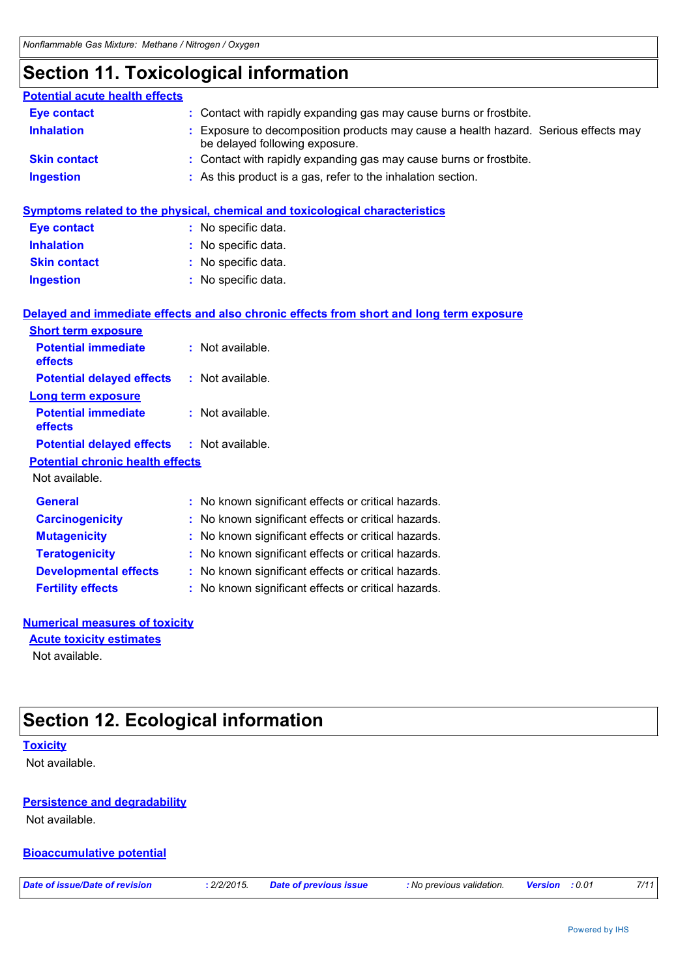### **Section 11. Toxicological information**

| <b>Potential acute health effects</b>                 |                                                                                                                       |
|-------------------------------------------------------|-----------------------------------------------------------------------------------------------------------------------|
| <b>Eye contact</b>                                    | : Contact with rapidly expanding gas may cause burns or frostbite.                                                    |
| <b>Inhalation</b>                                     | : Exposure to decomposition products may cause a health hazard. Serious effects may<br>be delayed following exposure. |
| <b>Skin contact</b>                                   | : Contact with rapidly expanding gas may cause burns or frostbite.                                                    |
| <b>Ingestion</b>                                      | : As this product is a gas, refer to the inhalation section.                                                          |
|                                                       | <b>Symptoms related to the physical, chemical and toxicological characteristics</b>                                   |
| <b>Eye contact</b>                                    | : No specific data.                                                                                                   |
| <b>Inhalation</b>                                     | : No specific data.                                                                                                   |
| <b>Skin contact</b>                                   | : No specific data.                                                                                                   |
| <b>Ingestion</b>                                      | : No specific data.                                                                                                   |
|                                                       | Delayed and immediate effects and also chronic effects from short and long term exposure                              |
| <b>Short term exposure</b>                            |                                                                                                                       |
| <b>Potential immediate</b><br>effects                 | : Not available.                                                                                                      |
| <b>Potential delayed effects</b>                      | : Not available.                                                                                                      |
| <b>Long term exposure</b>                             |                                                                                                                       |
| <b>Potential immediate</b><br>effects                 | : Not available.                                                                                                      |
|                                                       |                                                                                                                       |
| <b>Potential delayed effects</b>                      | : Not available.                                                                                                      |
| <b>Potential chronic health effects</b>               |                                                                                                                       |
| Not available.                                        |                                                                                                                       |
| <b>General</b>                                        | : No known significant effects or critical hazards.                                                                   |
| <b>Carcinogenicity</b>                                | : No known significant effects or critical hazards.                                                                   |
| <b>Mutagenicity</b>                                   | : No known significant effects or critical hazards.                                                                   |
| <b>Teratogenicity</b><br><b>Developmental effects</b> | : No known significant effects or critical hazards.<br>: No known significant effects or critical hazards.            |

#### **Numerical measures of toxicity**

Not available. **Acute toxicity estimates**

### **Section 12. Ecological information**

#### **Toxicity**

Not available.

#### **Persistence and degradability**

Not available.

#### **Bioaccumulative potential**

*Date of issue/Date of revision* **:** *2/2/2015. Date of previous issue : No previous validation. Version : 0.01 7/11*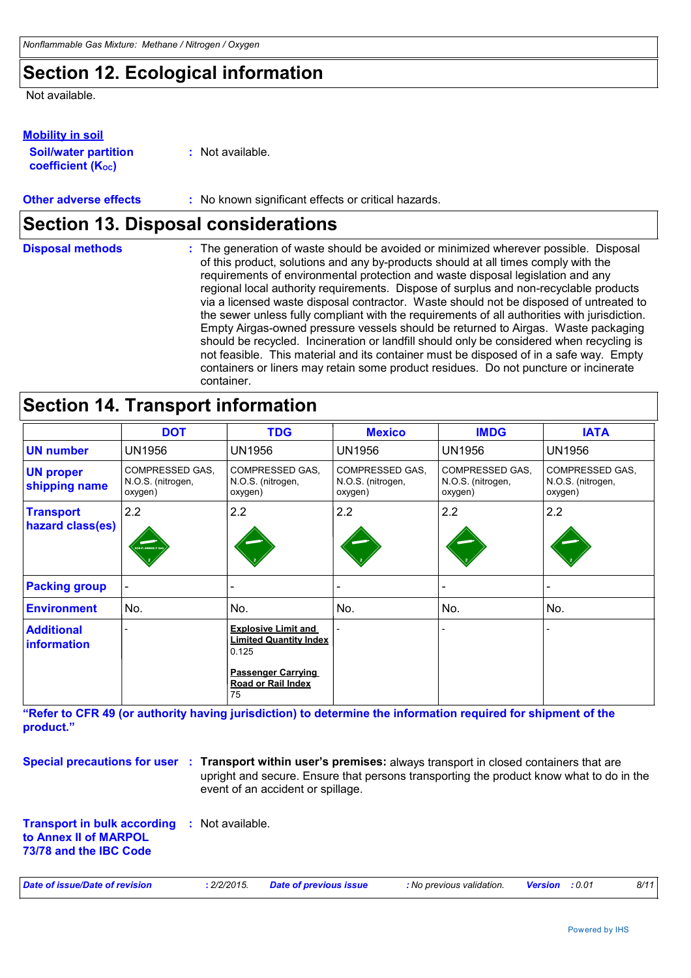### **Section 12. Ecological information**

Not available.

#### **Mobility in soil**

**Soil/water partition coefficient (KOC)**

**:** Not available.

#### **Other adverse effects** : No known significant effects or critical hazards.

### **Section 13. Disposal considerations**

The generation of waste should be avoided or minimized wherever possible. Disposal of this product, solutions and any by-products should at all times comply with the requirements of environmental protection and waste disposal legislation and any regional local authority requirements. Dispose of surplus and non-recyclable products via a licensed waste disposal contractor. Waste should not be disposed of untreated to the sewer unless fully compliant with the requirements of all authorities with jurisdiction. Empty Airgas-owned pressure vessels should be returned to Airgas. Waste packaging should be recycled. Incineration or landfill should only be considered when recycling is not feasible. This material and its container must be disposed of in a safe way. Empty containers or liners may retain some product residues. Do not puncture or incinerate container. **Disposal methods :**

### **Section 14. Transport information**

|                                         | <b>DOT</b>                                      | <b>TDG</b>                                                                                                                     | <b>Mexico</b>                                          | <b>IMDG</b>                                            | <b>IATA</b>                                     |
|-----------------------------------------|-------------------------------------------------|--------------------------------------------------------------------------------------------------------------------------------|--------------------------------------------------------|--------------------------------------------------------|-------------------------------------------------|
| <b>UN number</b>                        | <b>UN1956</b>                                   | <b>UN1956</b>                                                                                                                  | <b>UN1956</b>                                          | <b>UN1956</b>                                          | UN1956                                          |
| <b>UN proper</b><br>shipping name       | COMPRESSED GAS.<br>N.O.S. (nitrogen,<br>oxygen) | COMPRESSED GAS,<br>N.O.S. (nitrogen,<br>oxygen)                                                                                | <b>COMPRESSED GAS.</b><br>N.O.S. (nitrogen,<br>oxygen) | <b>COMPRESSED GAS.</b><br>N.O.S. (nitrogen,<br>oxygen) | COMPRESSED GAS.<br>N.O.S. (nitrogen,<br>oxygen) |
| <b>Transport</b><br>hazard class(es)    | 2.2<br><b>VON-FLAMMADLE GA</b>                  | 2.2                                                                                                                            | 2.2                                                    | 2.2                                                    | 2.2                                             |
| <b>Packing group</b>                    |                                                 |                                                                                                                                |                                                        |                                                        |                                                 |
| <b>Environment</b>                      | No.                                             | No.                                                                                                                            | No.                                                    | No.                                                    | No.                                             |
| <b>Additional</b><br><b>information</b> |                                                 | <b>Explosive Limit and</b><br><b>Limited Quantity Index</b><br>0.125<br><b>Passenger Carrying</b><br><b>Road or Rail Index</b> |                                                        |                                                        |                                                 |

**"Refer to CFR 49 (or authority having jurisdiction) to determine the information required for shipment of the product."** 

**Special precautions for user** : Transport within user's premises: always transport in closed containers that are upright and secure. Ensure that persons transporting the product know what to do in the event of an accident or spillage.

**Transport in bulk according :** Not available. **to Annex II of MARPOL 73/78 and the IBC Code**

| Date of issue/Date of revision | 2/2/2015. | <b>Date of previous issue</b> | : No previous validation. | <b>Version</b> :0.01 |  | 8/11 |
|--------------------------------|-----------|-------------------------------|---------------------------|----------------------|--|------|
|--------------------------------|-----------|-------------------------------|---------------------------|----------------------|--|------|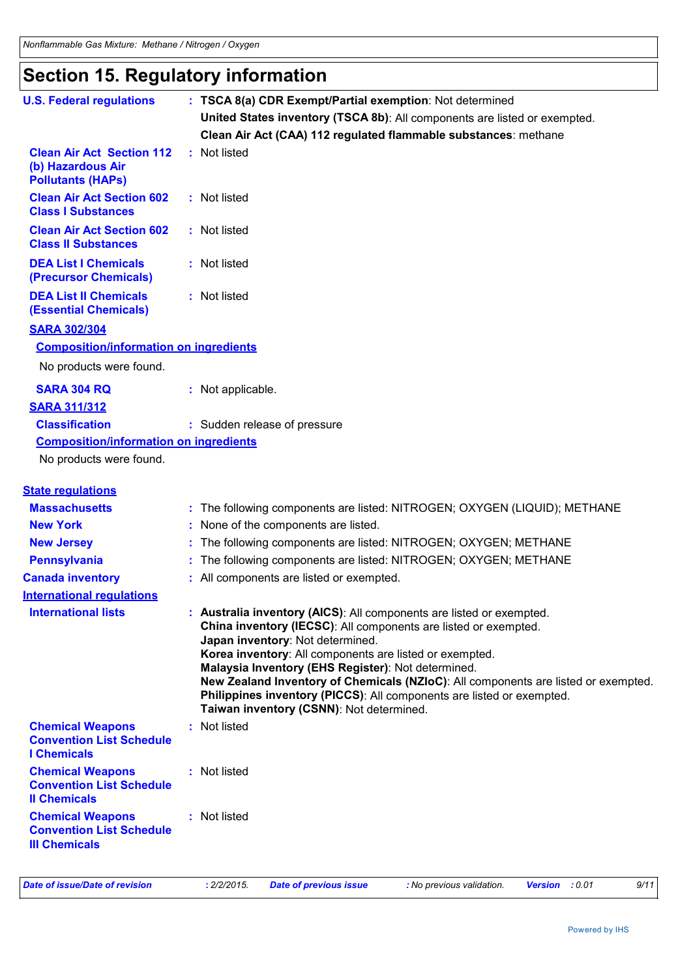# **Section 15. Regulatory information**

| <b>U.S. Federal regulations</b>                                                    | : TSCA 8(a) CDR Exempt/Partial exemption: Not determined                                                                                                                                                                                                                                                                                                                                                                                                                                                |
|------------------------------------------------------------------------------------|---------------------------------------------------------------------------------------------------------------------------------------------------------------------------------------------------------------------------------------------------------------------------------------------------------------------------------------------------------------------------------------------------------------------------------------------------------------------------------------------------------|
|                                                                                    | United States inventory (TSCA 8b): All components are listed or exempted.                                                                                                                                                                                                                                                                                                                                                                                                                               |
|                                                                                    | Clean Air Act (CAA) 112 regulated flammable substances: methane                                                                                                                                                                                                                                                                                                                                                                                                                                         |
| <b>Clean Air Act Section 112</b><br>(b) Hazardous Air<br><b>Pollutants (HAPs)</b>  | : Not listed                                                                                                                                                                                                                                                                                                                                                                                                                                                                                            |
| <b>Clean Air Act Section 602</b><br><b>Class I Substances</b>                      | : Not listed                                                                                                                                                                                                                                                                                                                                                                                                                                                                                            |
| <b>Clean Air Act Section 602</b><br><b>Class II Substances</b>                     | : Not listed                                                                                                                                                                                                                                                                                                                                                                                                                                                                                            |
| <b>DEA List I Chemicals</b><br>(Precursor Chemicals)                               | : Not listed                                                                                                                                                                                                                                                                                                                                                                                                                                                                                            |
| <b>DEA List II Chemicals</b><br><b>(Essential Chemicals)</b>                       | : Not listed                                                                                                                                                                                                                                                                                                                                                                                                                                                                                            |
| <b>SARA 302/304</b>                                                                |                                                                                                                                                                                                                                                                                                                                                                                                                                                                                                         |
| <b>Composition/information on ingredients</b><br>No products were found.           |                                                                                                                                                                                                                                                                                                                                                                                                                                                                                                         |
| <b>SARA 304 RQ</b><br><b>SARA 311/312</b>                                          | : Not applicable.                                                                                                                                                                                                                                                                                                                                                                                                                                                                                       |
| <b>Classification</b>                                                              | : Sudden release of pressure                                                                                                                                                                                                                                                                                                                                                                                                                                                                            |
| <b>Composition/information on ingredients</b><br>No products were found.           |                                                                                                                                                                                                                                                                                                                                                                                                                                                                                                         |
| <b>State regulations</b>                                                           |                                                                                                                                                                                                                                                                                                                                                                                                                                                                                                         |
| <b>Massachusetts</b>                                                               | : The following components are listed: NITROGEN; OXYGEN (LIQUID); METHANE                                                                                                                                                                                                                                                                                                                                                                                                                               |
| <b>New York</b>                                                                    | : None of the components are listed.                                                                                                                                                                                                                                                                                                                                                                                                                                                                    |
| <b>New Jersey</b>                                                                  | The following components are listed: NITROGEN; OXYGEN; METHANE                                                                                                                                                                                                                                                                                                                                                                                                                                          |
| <b>Pennsylvania</b>                                                                | The following components are listed: NITROGEN; OXYGEN; METHANE                                                                                                                                                                                                                                                                                                                                                                                                                                          |
| <b>Canada inventory</b>                                                            | : All components are listed or exempted.                                                                                                                                                                                                                                                                                                                                                                                                                                                                |
| <b>International regulations</b>                                                   |                                                                                                                                                                                                                                                                                                                                                                                                                                                                                                         |
| <b>International lists</b>                                                         | : Australia inventory (AICS): All components are listed or exempted.<br>China inventory (IECSC): All components are listed or exempted.<br>Japan inventory: Not determined.<br>Korea inventory: All components are listed or exempted.<br>Malaysia Inventory (EHS Register): Not determined.<br>New Zealand Inventory of Chemicals (NZIoC): All components are listed or exempted.<br>Philippines inventory (PICCS): All components are listed or exempted.<br>Taiwan inventory (CSNN): Not determined. |
| <b>Chemical Weapons</b><br><b>Convention List Schedule</b><br><b>I</b> Chemicals   | Not listed                                                                                                                                                                                                                                                                                                                                                                                                                                                                                              |
| <b>Chemical Weapons</b><br><b>Convention List Schedule</b><br><b>Il Chemicals</b>  | : Not listed                                                                                                                                                                                                                                                                                                                                                                                                                                                                                            |
| <b>Chemical Weapons</b><br><b>Convention List Schedule</b><br><b>III Chemicals</b> | : Not listed                                                                                                                                                                                                                                                                                                                                                                                                                                                                                            |
| <b>Date of issue/Date of revision</b>                                              | 9/11<br>: 2/2/2015.<br><b>Date of previous issue</b><br>: No previous validation.<br>Version : 0.01                                                                                                                                                                                                                                                                                                                                                                                                     |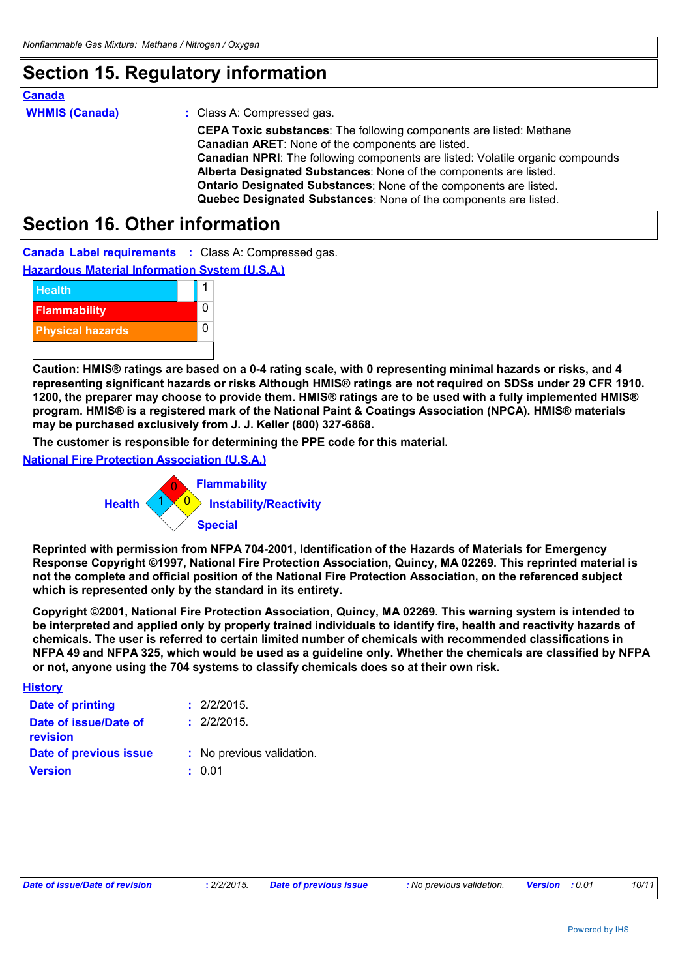### **Section 15. Regulatory information**

### **Canada**

| <b>WHMIS (Canada)</b> | $:$ Class A: |
|-----------------------|--------------|
|                       | <b>CEPAT</b> |
|                       | Canadia      |
|                       | Canadia      |
|                       |              |

**oxic substances**: The following components are listed: Methane **Canadian ARET**: None of the components are listed. In NPRI: The following components are listed: Volatile organic compounds **Alberta Designated Substances**: None of the components are listed. **Ontario Designated Substances**: None of the components are listed. **Quebec Designated Substances**: None of the components are listed. Compressed gas.

### **Section 16. Other information**

**Canada Label requirements :** Class A: Compressed gas.

**Hazardous Material Information System (U.S.A.)**



**Caution: HMIS® ratings are based on a 0-4 rating scale, with 0 representing minimal hazards or risks, and 4 representing significant hazards or risks Although HMIS® ratings are not required on SDSs under 29 CFR 1910. 1200, the preparer may choose to provide them. HMIS® ratings are to be used with a fully implemented HMIS® program. HMIS® is a registered mark of the National Paint & Coatings Association (NPCA). HMIS® materials may be purchased exclusively from J. J. Keller (800) 327-6868.**

**The customer is responsible for determining the PPE code for this material.**

**National Fire Protection Association (U.S.A.)**



**Reprinted with permission from NFPA 704-2001, Identification of the Hazards of Materials for Emergency Response Copyright ©1997, National Fire Protection Association, Quincy, MA 02269. This reprinted material is not the complete and official position of the National Fire Protection Association, on the referenced subject which is represented only by the standard in its entirety.**

**Copyright ©2001, National Fire Protection Association, Quincy, MA 02269. This warning system is intended to be interpreted and applied only by properly trained individuals to identify fire, health and reactivity hazards of chemicals. The user is referred to certain limited number of chemicals with recommended classifications in NFPA 49 and NFPA 325, which would be used as a guideline only. Whether the chemicals are classified by NFPA or not, anyone using the 704 systems to classify chemicals does so at their own risk.**

#### **History**

| Date of printing                         | : 2/2/2015.               |
|------------------------------------------|---------------------------|
| Date of issue/Date of<br><b>revision</b> | : 2/2/2015.               |
| Date of previous issue                   | : No previous validation. |
| <b>Version</b>                           | : 0.01                    |